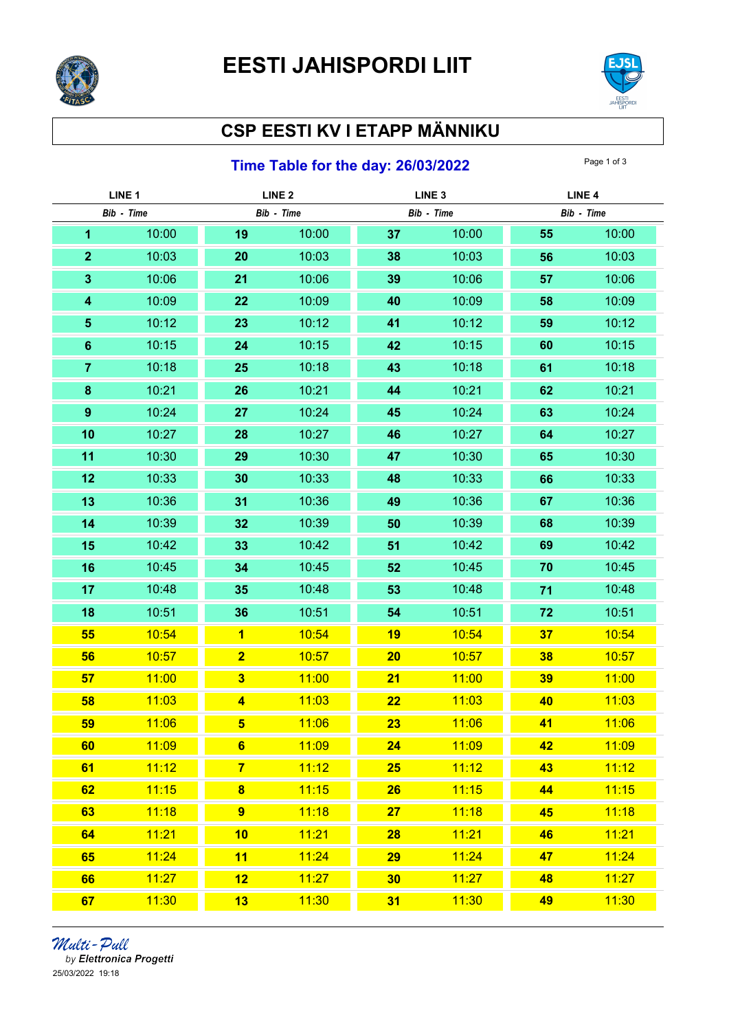



## CSP EESTI KV I ETAPP MÄNNIKU

## **Time Table for the day: 26/03/2022** Page 1 of 3

| LINE <sub>1</sub> |       | LINE <sub>2</sub>       |            | LINE <sub>3</sub> |            | LINE <sub>4</sub> |            |
|-------------------|-------|-------------------------|------------|-------------------|------------|-------------------|------------|
| Bib - Time        |       |                         | Bib - Time |                   | Bib - Time |                   | Bib - Time |
| 1                 | 10:00 | 19                      | 10:00      | 37                | 10:00      | 55                | 10:00      |
| $\mathbf{2}$      | 10:03 | 20                      | 10:03      | 38                | 10:03      | 56                | 10:03      |
| $\mathbf{3}$      | 10:06 | 21                      | 10:06      | 39                | 10:06      | 57                | 10:06      |
| 4                 | 10:09 | 22                      | 10:09      | 40                | 10:09      | 58                | 10:09      |
| $\sqrt{5}$        | 10:12 | 23                      | 10:12      | 41                | 10:12      | 59                | 10:12      |
| $6\phantom{a}$    | 10:15 | 24                      | 10:15      | 42                | 10:15      | 60                | 10:15      |
| $\overline{7}$    | 10:18 | 25                      | 10:18      | 43                | 10:18      | 61                | 10:18      |
| ${\bf 8}$         | 10:21 | 26                      | 10:21      | 44                | 10:21      | 62                | 10:21      |
| $\boldsymbol{9}$  | 10:24 | 27                      | 10:24      | 45                | 10:24      | 63                | 10:24      |
| 10                | 10:27 | 28                      | 10:27      | 46                | 10:27      | 64                | 10:27      |
| 11                | 10:30 | 29                      | 10:30      | 47                | 10:30      | 65                | 10:30      |
| 12                | 10:33 | 30                      | 10:33      | 48                | 10:33      | 66                | 10:33      |
| 13                | 10:36 | 31                      | 10:36      | 49                | 10:36      | 67                | 10:36      |
| 14                | 10:39 | 32                      | 10:39      | 50                | 10:39      | 68                | 10:39      |
| 15                | 10:42 | 33                      | 10:42      | 51                | 10:42      | 69                | 10:42      |
| 16                | 10:45 | 34                      | 10:45      | 52                | 10:45      | 70                | 10:45      |
| 17                | 10:48 | 35                      | 10:48      | 53                | 10:48      | 71                | 10:48      |
| 18                | 10:51 | 36                      | 10:51      | 54                | 10:51      | 72                | 10:51      |
| 55                | 10:54 | $\overline{\mathbf{1}}$ | 10:54      | 19                | 10:54      | 37                | 10:54      |
| 56                | 10:57 | $\overline{\mathbf{2}}$ | 10:57      | 20                | 10:57      | 38                | 10:57      |
| 57                | 11:00 | $\overline{\mathbf{3}}$ | 11:00      | 21                | 11:00      | 39                | 11:00      |
| 58                | 11:03 | $\overline{\mathbf{4}}$ | 11:03      | 22                | 11:03      | 40                | 11:03      |
| 59                | 11:06 | $5\phantom{1}$          | 11:06      | 23                | 11:06      | 41                | 11:06      |
| 60                | 11:09 | $6\phantom{1}$          | 11:09      | 24                | 11:09      | 42                | 11:09      |
| 61                | 11:12 | $\overline{7}$          | 11:12      | <b>25</b>         | 11:12      | 43                | 11:12      |
| 62                | 11:15 | $\bf{8}$                | 11:15      | 26                | 11:15      | 44                | 11:15      |
| 63                | 11:18 | $\overline{9}$          | 11:18      | 27                | 11:18      | 45                | 11:18      |
| 64                | 11:21 | 10                      | 11:21      | <b>28</b>         | 11:21      | 46                | 11:21      |
| 65                | 11:24 | 11                      | 11:24      | 29                | 11:24      | 47                | 11:24      |
| 66                | 11:27 | 12                      | 11:27      | 30                | 11:27      | 48                | 11:27      |
| 67                | 11:30 | 13                      | 11:30      | 31                | 11:30      | 49                | 11:30      |

*Multi - Pull*<br>by Elettronica Progetti 25/03/2022 19:18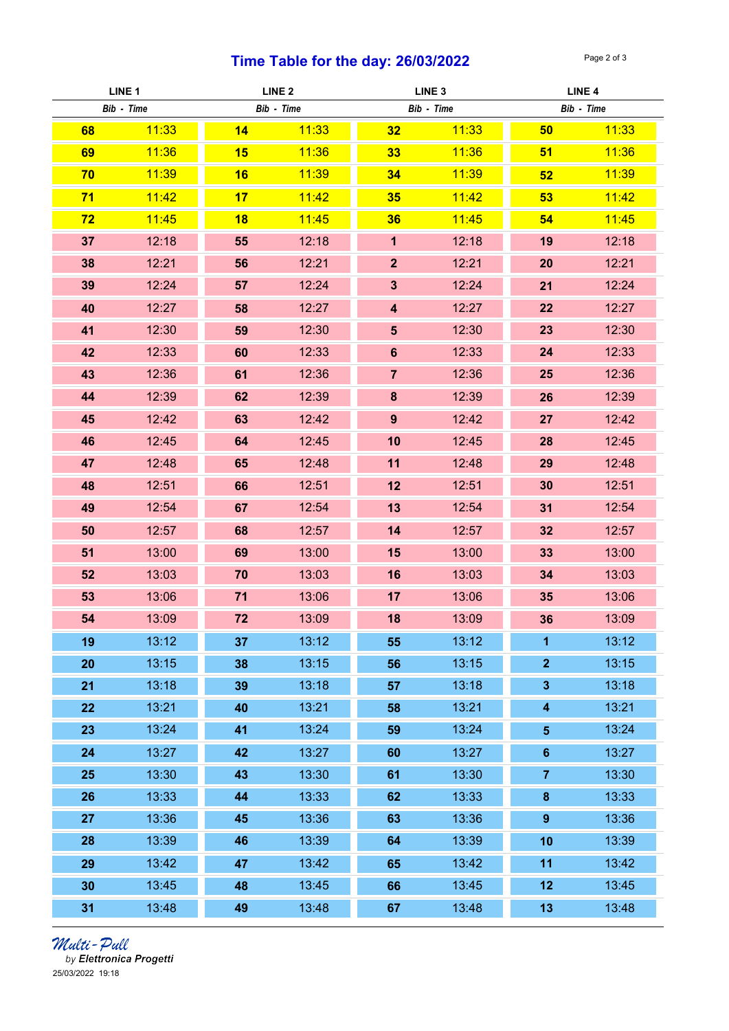## Time Table for the day:  $26/03/2022$  Page 2 of 3

| LINE <sub>1</sub> |       | LINE <sub>2</sub> |            | LINE <sub>3</sub>       |            | LINE <sub>4</sub>       |            |
|-------------------|-------|-------------------|------------|-------------------------|------------|-------------------------|------------|
| Bib - Time        |       |                   | Bib - Time |                         | Bib - Time |                         | Bib - Time |
| 68                | 11:33 | 14                | 11:33      | 32                      | 11:33      | 50                      | 11:33      |
| 69                | 11:36 | 15                | 11:36      | 33                      | 11:36      | 51                      | 11:36      |
| 70                | 11:39 | 16                | 11:39      | 34                      | 11:39      | 52                      | 11:39      |
| 71                | 11:42 | 17                | 11:42      | 35                      | 11:42      | 53                      | 11:42      |
| 72                | 11:45 | 18                | 11:45      | 36                      | 11:45      | 54                      | 11:45      |
| 37                | 12:18 | 55                | 12:18      | $\mathbf{1}$            | 12:18      | 19                      | 12:18      |
| 38                | 12:21 | 56                | 12:21      | $\overline{2}$          | 12:21      | 20                      | 12:21      |
| 39                | 12:24 | 57                | 12:24      | $\overline{\mathbf{3}}$ | 12:24      | 21                      | 12:24      |
| 40                | 12:27 | 58                | 12:27      | $\overline{\mathbf{4}}$ | 12:27      | 22                      | 12:27      |
| 41                | 12:30 | 59                | 12:30      | $5\phantom{.}$          | 12:30      | 23                      | 12:30      |
| 42                | 12:33 | 60                | 12:33      | $6\phantom{a}$          | 12:33      | 24                      | 12:33      |
| 43                | 12:36 | 61                | 12:36      | $\overline{7}$          | 12:36      | 25                      | 12:36      |
| 44                | 12:39 | 62                | 12:39      | 8                       | 12:39      | 26                      | 12:39      |
| 45                | 12:42 | 63                | 12:42      | $\overline{9}$          | 12:42      | 27                      | 12:42      |
| 46                | 12:45 | 64                | 12:45      | 10                      | 12:45      | 28                      | 12:45      |
| 47                | 12:48 | 65                | 12:48      | 11                      | 12:48      | 29                      | 12:48      |
| 48                | 12:51 | 66                | 12:51      | 12                      | 12:51      | 30                      | 12:51      |
| 49                | 12:54 | 67                | 12:54      | 13                      | 12:54      | 31                      | 12:54      |
| 50                | 12:57 | 68                | 12:57      | 14                      | 12:57      | 32                      | 12:57      |
| 51                | 13:00 | 69                | 13:00      | 15                      | 13:00      | 33                      | 13:00      |
| 52                | 13:03 | 70                | 13:03      | 16                      | 13:03      | 34                      | 13:03      |
| 53                | 13:06 | 71                | 13:06      | 17                      | 13:06      | 35                      | 13:06      |
| 54                | 13:09 | 72                | 13:09      | 18                      | 13:09      | 36                      | 13:09      |
| 19                | 13:12 | 37                | 13:12      | 55                      | 13:12      | 1                       | 13:12      |
| 20                | 13:15 | 38                | 13:15      | 56                      | 13:15      | $\overline{2}$          | 13:15      |
| 21                | 13:18 | 39                | 13:18      | 57                      | 13:18      | $\mathbf{3}$            | 13:18      |
| 22                | 13:21 | 40                | 13:21      | 58                      | 13:21      | $\overline{\mathbf{4}}$ | 13:21      |
| 23                | 13:24 | 41                | 13:24      | 59                      | 13:24      | $\overline{\mathbf{5}}$ | 13:24      |
| 24                | 13:27 | 42                | 13:27      | 60                      | 13:27      | $\bf 6$                 | 13:27      |
| 25                | 13:30 | 43                | 13:30      | 61                      | 13:30      | $\overline{7}$          | 13:30      |
| 26                | 13:33 | 44                | 13:33      | 62                      | 13:33      | $\bf 8$                 | 13:33      |
| 27                | 13:36 | 45                | 13:36      | 63                      | 13:36      | $\boldsymbol{9}$        | 13:36      |
| 28                | 13:39 | 46                | 13:39      | 64                      | 13:39      | 10                      | 13:39      |
| 29                | 13:42 | 47                | 13:42      | 65                      | 13:42      | 11                      | 13:42      |
| 30                | 13:45 | 48                | 13:45      | 66                      | 13:45      | 12                      | 13:45      |
| 31                | 13:48 | 49                | 13:48      | 67                      | 13:48      | 13                      | 13:48      |